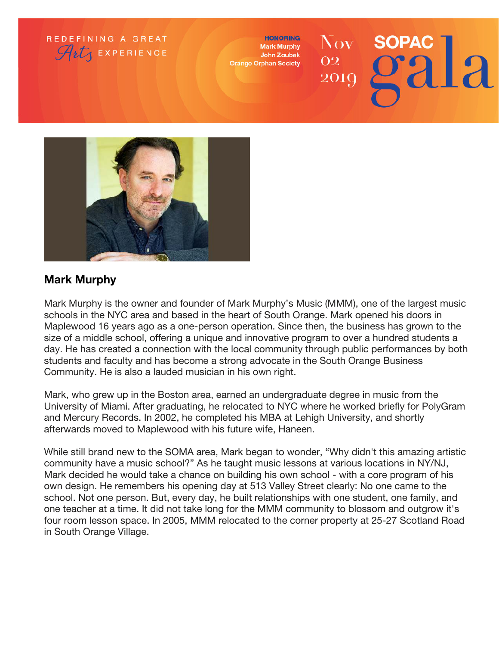

**HONORING Mark Murphy** John Zoubek **Orange Orphan Society** 

## $\rm Nov^{-}$ **SOPAC** 02 2010



## Mark Murphy

Mark Murphy is the owner and founder of Mark Murphy's Music (MMM), one of the largest music schools in the NYC area and based in the heart of South Orange. Mark opened his doors in Maplewood 16 years ago as a one-person operation. Since then, the business has grown to the size of a middle school, offering a unique and innovative program to over a hundred students a day. He has created a connection with the local community through public performances by both students and faculty and has become a strong advocate in the South Orange Business Community. He is also a lauded musician in his own right.

Mark, who grew up in the Boston area, earned an undergraduate degree in music from the University of Miami. After graduating, he relocated to NYC where he worked briefly for PolyGram and Mercury Records. In 2002, he completed his MBA at Lehigh University, and shortly afterwards moved to Maplewood with his future wife, Haneen.

While still brand new to the SOMA area, Mark began to wonder, "Why didn't this amazing artistic community have a music school?" As he taught music lessons at various locations in NY/NJ, Mark decided he would take a chance on building his own school - with a core program of his own design. He remembers his opening day at 513 Valley Street clearly: No one came to the school. Not one person. But, every day, he built relationships with one student, one family, and one teacher at a time. It did not take long for the MMM community to blossom and outgrow it's four room lesson space. In 2005, MMM relocated to the corner property at 25-27 Scotland Road in South Orange Village.